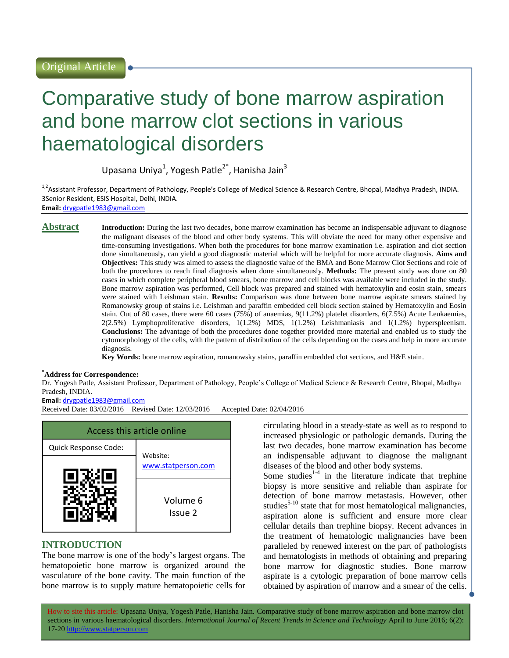# Comparative study of bone marrow aspiration and bone marrow clot sections in various haematological disorders

Upasana Uniya<sup>1</sup>, Yogesh Patle<sup>2\*</sup>, Hanisha Jain<sup>3</sup>

<sup>1,2</sup>Assistant Professor, Department of Pathology, People's College of Medical Science & Research Centre, Bhopal, Madhya Pradesh, INDIA. 3Senior Resident, ESIS Hospital, Delhi, INDIA. **Email:** [drygpatle1983@gmail.com](mailto:drygpatle1983@gmail.com)

**Abstract Introduction:** During the last two decades, bone marrow examination has become an indispensable adjuvant to diagnose the malignant diseases of the blood and other body systems. This will obviate the need for many other expensive and time-consuming investigations. When both the procedures for bone marrow examination i.e. aspiration and clot section done simultaneously, can yield a good diagnostic material which will be helpful for more accurate diagnosis. **Aims and Objectives:** This study was aimed to assess the diagnostic value of the BMA and Bone Marrow Clot Sections and role of both the procedures to reach final diagnosis when done simultaneously. **Methods:** The present study was done on 80 cases in which complete peripheral blood smears, bone marrow and cell blocks was available were included in the study. Bone marrow aspiration was performed, Cell block was prepared and stained with hematoxylin and eosin stain, smears were stained with Leishman stain. **Results:** Comparison was done between bone marrow aspirate smears stained by Romanowsky group of stains i.e. Leishman and paraffin embedded cell block section stained by Hematoxylin and Eosin stain. Out of 80 cases, there were 60 cases (75%) of anaemias, 9(11.2%) platelet disorders, 6(7.5%) Acute Leukaemias, 2(2.5%) Lymphoproliferative disorders, 1(1.2%) MDS, 1(1.2%) Leishmaniasis and 1(1.2%) hyperspleenism. **Conclusions:** The advantage of both the procedures done together provided more material and enabled us to study the cytomorphology of the cells, with the pattern of distribution of the cells depending on the cases and help in more accurate diagnosis.

**Key Words:** bone marrow aspiration, romanowsky stains, paraffin embedded clot sections, and H&E stain.

#### **\*Address for Correspondence:**

Dr. Yogesh Patle, Assistant Professor, Department of Pathology, People's College of Medical Science & Research Centre, Bhopal, Madhya Pradesh, INDIA.

#### **Email:** [drygpatle1983@gmail.com](mailto:drygpatle1983@gmail.com)

Received Date: 03/02/2016 Revised Date: 12/03/2016 Accepted Date: 02/04/2016



# **INTRODUCTION**

The bone marrow is one of the body's largest organs. The hematopoietic bone marrow is organized around the vasculature of the bone cavity. The main function of the bone marrow is to supply mature hematopoietic cells for circulating blood in a steady-state as well as to respond to increased physiologic or pathologic demands. During the last two decades, bone marrow examination has become an indispensable adjuvant to diagnose the malignant diseases of the blood and other body systems.

Some studies $1-4$  in the literature indicate that trephine biopsy is more sensitive and reliable than aspirate for detection of bone marrow metastasis. However, other studies $5-10$  state that for most hematological malignancies, aspiration alone is sufficient and ensure more clear cellular details than trephine biopsy. Recent advances in the treatment of hematologic malignancies have been paralleled by renewed interest on the part of pathologists and hematologists in methods of obtaining and preparing bone marrow for diagnostic studies. Bone marrow aspirate is a cytologic preparation of bone marrow cells obtained by aspiration of marrow and a smear of the cells.

How to site this article: Upasana Uniya, Yogesh Patle, Hanisha Jain*.* Comparative study of bone marrow aspiration and bone marrow clot sections in various haematological disorders. *International Journal of Recent Trends in Science and Technology* April to June 2016; 6(2): 17-20 http://www.statperson.com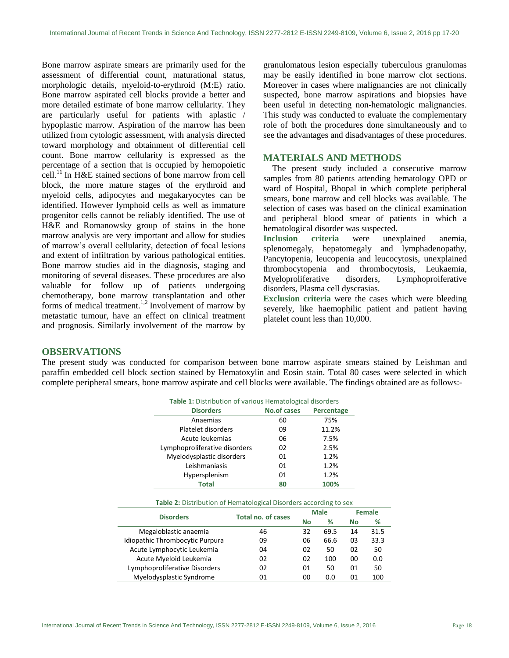Bone marrow aspirate smears are primarily used for the assessment of differential count, maturational status, morphologic details, myeloid-to-erythroid (M:E) ratio. Bone marrow aspirated cell blocks provide a better and more detailed estimate of bone marrow cellularity. They are particularly useful for patients with aplastic / hypoplastic marrow. Aspiration of the marrow has been utilized from cytologic assessment, with analysis directed toward morphology and obtainment of differential cell count. Bone marrow cellularity is expressed as the percentage of a section that is occupied by hemopoietic cell.<sup>11</sup> In H&E stained sections of bone marrow from cell block, the more mature stages of the erythroid and myeloid cells, adipocytes and megakaryocytes can be identified. However lymphoid cells as well as immature progenitor cells cannot be reliably identified. The use of H&E and Romanowsky group of stains in the bone marrow analysis are very important and allow for studies of marrow's overall cellularity, detection of focal lesions and extent of infiltration by various pathological entities. Bone marrow studies aid in the diagnosis, staging and monitoring of several diseases. These procedures are also valuable for follow up of patients undergoing chemotherapy, bone marrow transplantation and other forms of medical treatment.<sup>1,2</sup> Involvement of marrow by metastatic tumour, have an effect on clinical treatment and prognosis. Similarly involvement of the marrow by

granulomatous lesion especially tuberculous granulomas may be easily identified in bone marrow clot sections. Moreover in cases where malignancies are not clinically suspected, bone marrow aspirations and biopsies have been useful in detecting non-hematologic malignancies. This study was conducted to evaluate the complementary role of both the procedures done simultaneously and to see the advantages and disadvantages of these procedures.

#### **MATERIALS AND METHODS**

The present study included a consecutive marrow samples from 80 patients attending hematology OPD or ward of Hospital, Bhopal in which complete peripheral smears, bone marrow and cell blocks was available. The selection of cases was based on the clinical examination and peripheral blood smear of patients in which a hematological disorder was suspected.

**Inclusion criteria** were unexplained anemia, splenomegaly, hepatomegaly and lymphadenopathy, Pancytopenia, leucopenia and leucocytosis, unexplained thrombocytopenia and thrombocytosis, Leukaemia, Myeloproliferative disorders, Lymphoproiferative disorders, Plasma cell dyscrasias.

**Exclusion criteria** were the cases which were bleeding severely, like haemophilic patient and patient having platelet count less than 10,000.

### **OBSERVATIONS**

The present study was conducted for comparison between bone marrow aspirate smears stained by Leishman and paraffin embedded cell block section stained by Hematoxylin and Eosin stain. Total 80 cases were selected in which complete peripheral smears, bone marrow aspirate and cell blocks were available. The findings obtained are as follows:-

| Table 1: Distribution of various Hematological disorders |                    |            |  |  |  |  |
|----------------------------------------------------------|--------------------|------------|--|--|--|--|
| <b>Disorders</b>                                         | <b>No.of cases</b> | Percentage |  |  |  |  |
| Anaemias                                                 | 60                 | 75%        |  |  |  |  |
| Platelet disorders                                       | 09                 | 11.2%      |  |  |  |  |
| Acute leukemias                                          | 06                 | 7.5%       |  |  |  |  |
| Lymphoproliferative disorders                            | 02                 | 2.5%       |  |  |  |  |
| Myelodysplastic disorders                                | 01                 | 1.2%       |  |  |  |  |
| Leishmaniasis                                            | 01                 | 1.2%       |  |  |  |  |
| Hypersplenism                                            | 01                 | 1.2%       |  |  |  |  |
| <b>Total</b>                                             | 80                 | 100%       |  |  |  |  |

#### **Table 2:** Distribution of Hematological Disorders according to sex

| <b>Disorders</b>                | Total no. of cases | <b>Male</b> |      | <b>Female</b> |      |
|---------------------------------|--------------------|-------------|------|---------------|------|
|                                 |                    | No          | %    | <b>No</b>     | ℅    |
| Megaloblastic anaemia           | 46                 | 32          | 69.5 | 14            | 31.5 |
| Idiopathic Thrombocytic Purpura | 09                 | 06          | 66.6 | 03            | 33.3 |
| Acute Lymphocytic Leukemia      | 04                 | 02          | 50   | 02            | 50   |
| Acute Myeloid Leukemia          | 02                 | 02          | 100  | 00            | 0.0  |
| Lymphoproliferative Disorders   | 02                 | 01          | 50   | 01            | 50   |
| Myelodysplastic Syndrome        | በ1                 | 00          | 0.0  | 01            | 100  |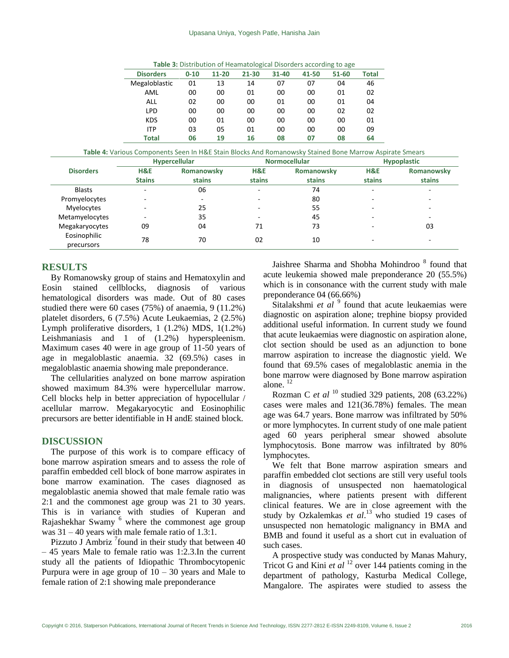#### Upasana Uniya, Yogesh Patle, Hanisha Jain

**Table 3:** Distribution of Heamatological Disorders according to age

| <b>Disorders</b> | $0 - 10$ | $11 - 20$ | $21 - 30$ | $31 - 40$ | 41-50 | 51-60 | Total |
|------------------|----------|-----------|-----------|-----------|-------|-------|-------|
| Megaloblastic    | 01       | 13        | 14        | 07        | 07    | 04    | 46    |
| AML              | 00       | 00        | 01        | 00        | 00    | 01    | 02    |
| <b>ALL</b>       | 02       | 00        | 00        | 01        | 00    | 01    | 04    |
| <b>LPD</b>       | 00       | 00        | 00        | 00        | 00    | 02    | 02    |
| <b>KDS</b>       | 00       | 01        | 00        | 00        | 00    | 00    | 01    |
| <b>ITP</b>       | 03       | 05        | 01        | 00        | 00    | 00    | 09    |
| <b>Total</b>     | 06       | 19        | 16        | 08        | 07    | 08    | 64    |

**Table 4:** Various Components Seen In H&E Stain Blocks And Romanowsky Stained Bone Marrow Aspirate Smears

|                            | <b>Hypercellular</b> |            | <b>Normocellular</b> |            | <b>Hypoplastic</b> |            |
|----------------------------|----------------------|------------|----------------------|------------|--------------------|------------|
| <b>Disorders</b>           | H&E                  | Romanowsky | H&E                  | Romanowsky | H&E                | Romanowsky |
|                            | <b>Stains</b>        | stains     | stains               | stains     | stains             | stains     |
| <b>Blasts</b>              |                      | 06         |                      | 74         |                    |            |
| Promyelocytes              | -                    | -          |                      | 80         |                    |            |
| Myelocytes                 | -                    | 25         |                      | 55         |                    |            |
| Metamyelocytes             | $\sim$               | 35         |                      | 45         |                    |            |
| Megakaryocytes             | 09                   | 04         | 71                   | 73         |                    | 03         |
| Eosinophilic<br>precursors | 78                   | 70         | 02                   | 10         |                    |            |

## **RESULTS**

By Romanowsky group of stains and Hematoxylin and Eosin stained cellblocks, diagnosis of various hematological disorders was made. Out of 80 cases studied there were 60 cases (75%) of anaemia, 9 (11.2%) platelet disorders, 6 (7.5%) Acute Leukaemias, 2 (2.5%) Lymph proliferative disorders, 1 (1.2%) MDS, 1(1.2%) Leishmaniasis and 1 of (1.2%) hyperspleenism. Maximum cases 40 were in age group of 11-50 years of age in megaloblastic anaemia. 32 (69.5%) cases in megaloblastic anaemia showing male preponderance.

The cellularities analyzed on bone marrow aspiration showed maximum 84.3% were hypercellular marrow. Cell blocks help in better appreciation of hypocellular / acellular marrow. Megakaryocytic and Eosinophilic precursors are better identifiable in H andE stained block.

#### **DISCUSSION**

The purpose of this work is to compare efficacy of bone marrow aspiration smears and to assess the role of paraffin embedded cell block of bone marrow aspirates in bone marrow examination. The cases diagnosed as megaloblastic anemia showed that male female ratio was 2:1 and the commonest age group was 21 to 30 years. This is in variance with studies of Kuperan and Rajashekhar Swamy <sup>6</sup> where the commonest age group was 31 – 40 years with male female ratio of 1.3:1.

Pizzuto J Ambriz  $\frac{7}{10}$  found in their study that between 40 – 45 years Male to female ratio was 1:2.3.In the current study all the patients of Idiopathic Thrombocytopenic Purpura were in age group of  $10 - 30$  years and Male to female ration of 2:1 showing male preponderance

Jaishree Sharma and Shobha Mohindroo<sup>8</sup> found that acute leukemia showed male preponderance 20 (55.5%) which is in consonance with the current study with male preponderance 04 (66.66%)

Sitalakshmi et al<sup>9</sup> found that acute leukaemias were diagnostic on aspiration alone; trephine biopsy provided additional useful information. In current study we found that acute leukaemias were diagnostic on aspiration alone, clot section should be used as an adjunction to bone marrow aspiration to increase the diagnostic yield. We found that 69.5% cases of megaloblastic anemia in the bone marrow were diagnosed by Bone marrow aspiration alone $12$ 

Rozman C *et al* <sup>10</sup> studied 329 patients, 208 (63.22%) cases were males and 121(36.78%) females. The mean age was 64.7 years. Bone marrow was infiltrated by 50% or more lymphocytes. In current study of one male patient aged 60 years peripheral smear showed absolute lymphocytosis. Bone marrow was infiltrated by 80% lymphocytes.

We felt that Bone marrow aspiration smears and paraffin embedded clot sections are still very useful tools in diagnosis of unsuspected non haematological malignancies, where patients present with different clinical features. We are in close agreement with the study by Ozkalemkas et al.<sup>13</sup> who studied 19 cases of unsuspected non hematologic malignancy in BMA and BMB and found it useful as a short cut in evaluation of such cases.

A prospective study was conducted by Manas Mahury, Tricot G and Kini *et al* <sup>12</sup> over 144 patients coming in the department of pathology, Kasturba Medical College, Mangalore. The aspirates were studied to assess the